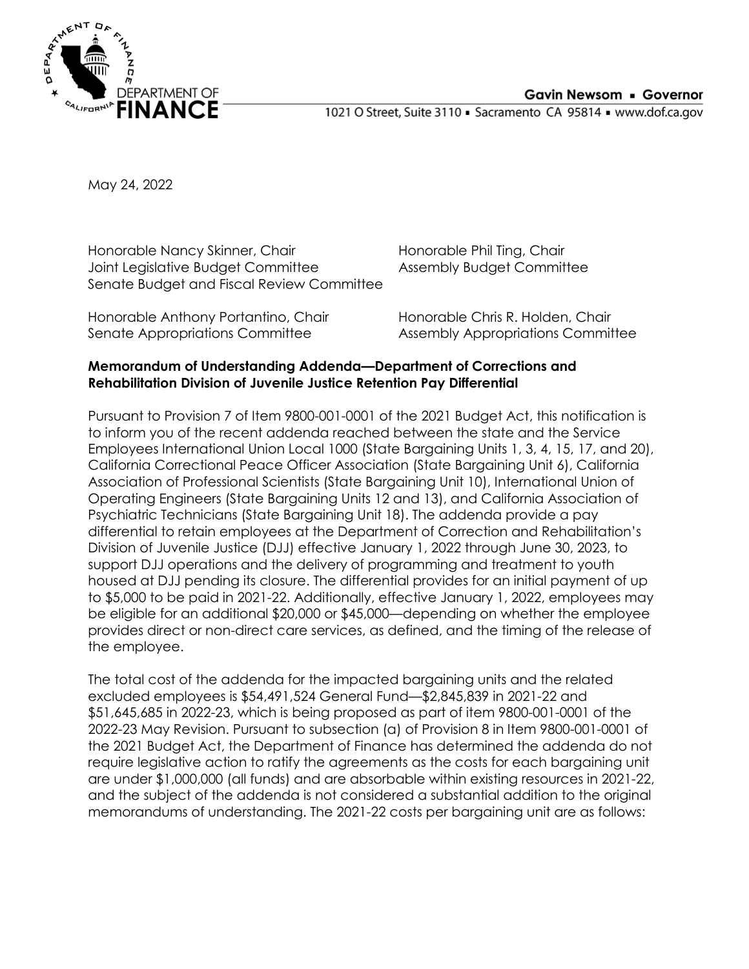1021 O Street, Suite 3110 · Sacramento CA 95814 · www.dof.ca.gov

May 24, 2022

Honorable Nancy Skinner, Chair Joint Legislative Budget Committee Senate Budget and Fiscal Review Committee

Honorable Phil Ting, Chair Assembly Budget Committee

Honorable Anthony Portantino, Chair Senate Appropriations Committee

Honorable Chris R. Holden, Chair Assembly Appropriations Committee

## **Memorandum of Understanding Addenda—Department of Corrections and Rehabilitation Division of Juvenile Justice Retention Pay Differential**

Pursuant to Provision 7 of Item 9800-001-0001 of the 2021 Budget Act, this notification is to inform you of the recent addenda reached between the state and the Service Employees International Union Local 1000 (State Bargaining Units 1, 3, 4, 15, 17, and 20), California Correctional Peace Officer Association (State Bargaining Unit 6), California Association of Professional Scientists (State Bargaining Unit 10), International Union of Operating Engineers (State Bargaining Units 12 and 13), and California Association of Psychiatric Technicians (State Bargaining Unit 18). The addenda provide a pay differential to retain employees at the Department of Correction and Rehabilitation's Division of Juvenile Justice (DJJ) effective January 1, 2022 through June 30, 2023, to support DJJ operations and the delivery of programming and treatment to youth housed at DJJ pending its closure. The differential provides for an initial payment of up to \$5,000 to be paid in 2021-22. Additionally, effective January 1, 2022, employees may be eligible for an additional \$20,000 or \$45,000—depending on whether the employee provides direct or non-direct care services, as defined, and the timing of the release of the employee.

The total cost of the addenda for the impacted bargaining units and the related excluded employees is \$54,491,524 General Fund—\$2,845,839 in 2021-22 and \$51,645,685 in 2022-23, which is being proposed as part of item 9800-001-0001 of the 2022-23 May Revision. Pursuant to subsection (a) of Provision 8 in Item 9800-001-0001 of the 2021 Budget Act, the Department of Finance has determined the addenda do not require legislative action to ratify the agreements as the costs for each bargaining unit are under \$1,000,000 (all funds) and are absorbable within existing resources in 2021-22, and the subject of the addenda is not considered a substantial addition to the original memorandums of understanding. The 2021-22 costs per bargaining unit are as follows: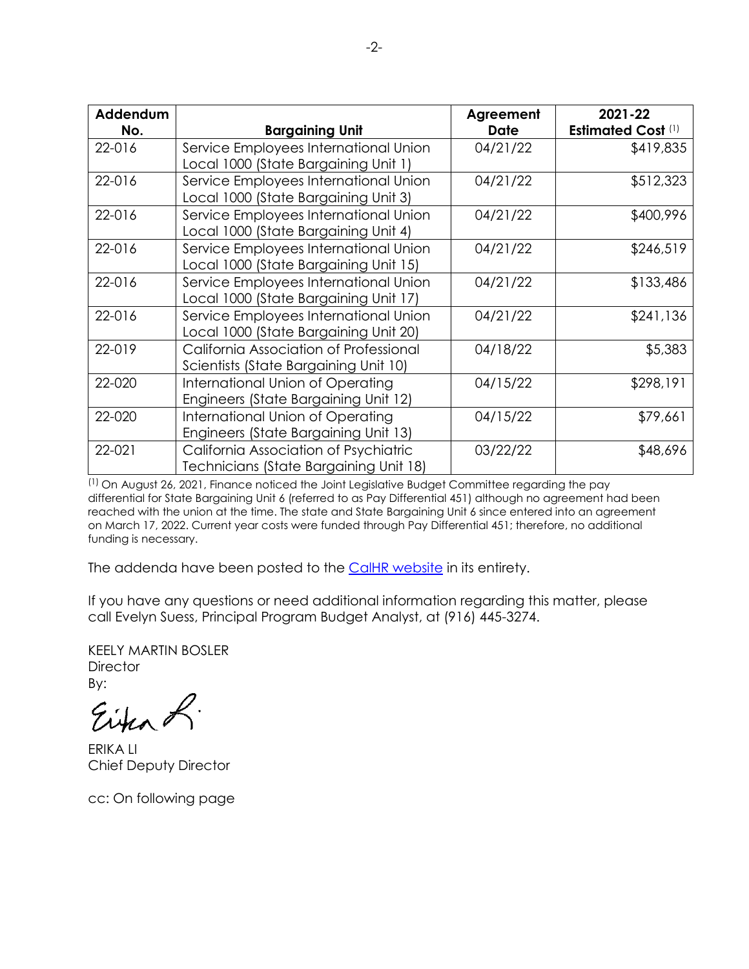| Addendum |                                                                                 | Agreement   | 2021-22                   |
|----------|---------------------------------------------------------------------------------|-------------|---------------------------|
| No.      | <b>Bargaining Unit</b>                                                          | <b>Date</b> | <b>Estimated Cost (1)</b> |
| 22-016   | Service Employees International Union<br>Local 1000 (State Bargaining Unit 1)   | 04/21/22    | \$419,835                 |
| 22-016   | Service Employees International Union<br>Local 1000 (State Bargaining Unit 3)   | 04/21/22    | \$512,323                 |
| 22-016   | Service Employees International Union<br>Local 1000 (State Bargaining Unit 4)   | 04/21/22    | \$400,996                 |
| 22-016   | Service Employees International Union<br>Local 1000 (State Bargaining Unit 15)  | 04/21/22    | \$246,519                 |
| 22-016   | Service Employees International Union<br>Local 1000 (State Bargaining Unit 17)  | 04/21/22    | \$133,486                 |
| 22-016   | Service Employees International Union<br>Local 1000 (State Bargaining Unit 20)  | 04/21/22    | \$241,136                 |
| 22-019   | California Association of Professional<br>Scientists (State Bargaining Unit 10) | 04/18/22    | \$5,383                   |
| 22-020   | International Union of Operating<br>Engineers (State Bargaining Unit 12)        | 04/15/22    | \$298,191                 |
| 22-020   | International Union of Operating<br>Engineers (State Bargaining Unit 13)        | 04/15/22    | \$79,661                  |
| 22-021   | California Association of Psychiatric<br>Technicians (State Bargaining Unit 18) | 03/22/22    | \$48,696                  |

(1) On August 26, 2021, Finance noticed the Joint Legislative Budget Committee regarding the pay differential for State Bargaining Unit 6 (referred to as Pay Differential 451) although no agreement had been reached with the union at the time. The state and State Bargaining Unit 6 since entered into an agreement on March 17, 2022. Current year costs were funded through Pay Differential 451; therefore, no additional funding is necessary.

The addenda have been posted to the [CalHR website](https://gcc02.safelinks.protection.outlook.com/?url=https%3A%2F%2Fwww.calhr.ca.gov%2Fstate-hr-professionals%2Fpages%2Fbargaining-contracts.aspx&data=04%7C01%7CPatrick.Campion%40dof.ca.gov%7C43b71e547c0742f2d36b08d9ba977f75%7Cf372b60004a347b8bed2800ecd61ebd2%7C0%7C0%7C637745982112705546%7CUnknown%7CTWFpbGZsb3d8eyJWIjoiMC4wLjAwMDAiLCJQIjoiV2luMzIiLCJBTiI6Ik1haWwiLCJXVCI6Mn0%3D%7C3000&sdata=YHfQALW3ip0m0r%2Be3s9RQ8%2FGAkXlOv0TnS4no59P%2Fss%3D&reserved=0) in its entirety.

If you have any questions or need additional information regarding this matter, please call Evelyn Suess, Principal Program Budget Analyst, at (916) 445-3274.

KEELY MARTIN BOSLER **Director** By:

Eina L.

ERIKA LI Chief Deputy Director

cc: On following page